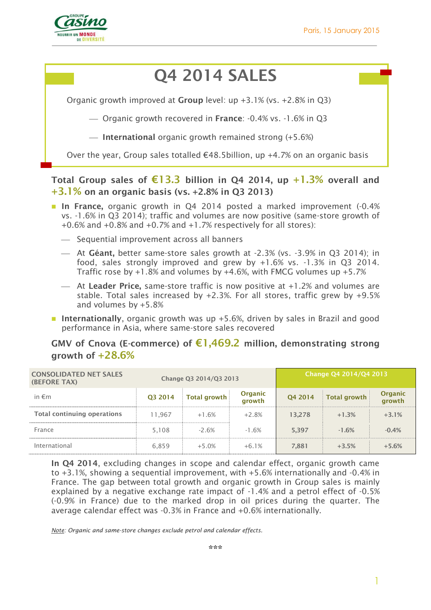

# **Q4 2014 SALES**

Organic growth improved at **Group** level: up +3.1% (vs. +2.8% in Q3)

Organic growth recovered in **France**: -0.4% vs. -1.6% in Q3

**International** organic growth remained strong (+5.6%)

Over the year, Group sales totalled  $€48.5$ billion, up  $+4.7%$  on an organic basis

### **Total Group sales of €13.3 billion in Q4 2014, up +1.3% overall and +3.1% on an organic basis (vs. +2.8% in Q3 2013)**

- **In France,** organic growth in Q4 2014 posted a marked improvement (-0.4% vs. -1.6% in Q3 2014); traffic and volumes are now positive (same-store growth of +0.6% and +0.8% and +0.7% and +1.7% respectively for all stores):
	- $-$  Sequential improvement across all banners
	- At **Géant,** better same-store sales growth at -2.3% (vs. -3.9% in Q3 2014); in food, sales strongly improved and grew by +1.6% vs. -1.3% in Q3 2014. Traffic rose by +1.8% and volumes by +4.6%, with FMCG volumes up +5.7%
	- At **Leader Price,** same-store traffic is now positive at +1.2% and volumes are stable. Total sales increased by +2.3%. For all stores, traffic grew by +9.5% and volumes by +5.8%
- **Internationally**, organic growth was up +5.6%, driven by sales in Brazil and good performance in Asia, where same-store sales recovered

#### **GMV of Cnova (E-commerce) of €1,469.2 million, demonstrating strong growth of +28.6%**

| <b>CONSOLIDATED NET SALES</b><br><b>(BEFORE TAX)</b> | Change Q3 2014/Q3 2013 |                     |                          |         | Change Q4 2014/Q4 2013 |                   |
|------------------------------------------------------|------------------------|---------------------|--------------------------|---------|------------------------|-------------------|
| in $\epsilon$ m                                      | O3 2014                | <b>Total growth</b> | <b>Organic</b><br>growth | Q4 2014 | <b>Total growth</b>    | Organic<br>growth |
| <b>Total continuing operations</b>                   | 11.967                 | $+1.6%$             | $+2.8%$                  | 13.278  | $+1.3%$                | $+3.1%$           |
| France                                               | 5,108                  | $-2.6%$             | $-1.6%$                  | 5.397   | $-1.6%$                | $-0.4%$           |
| International                                        | 6,859                  | $+5.0%$             | $+6.1%$                  | 7,881   | $+3.5%$                | $+5.6%$           |

**In Q4 2014**, excluding changes in scope and calendar effect, organic growth came to +3.1%, showing a sequential improvement, with +5.6% internationally and -0.4% in France. The gap between total growth and organic growth in Group sales is mainly explained by a negative exchange rate impact of -1.4% and a petrol effect of -0.5% (-0.9% in France) due to the marked drop in oil prices during the quarter. The average calendar effect was -0.3% in France and +0.6% internationally.

*Note: Organic and same-store changes exclude petrol and calendar effects.*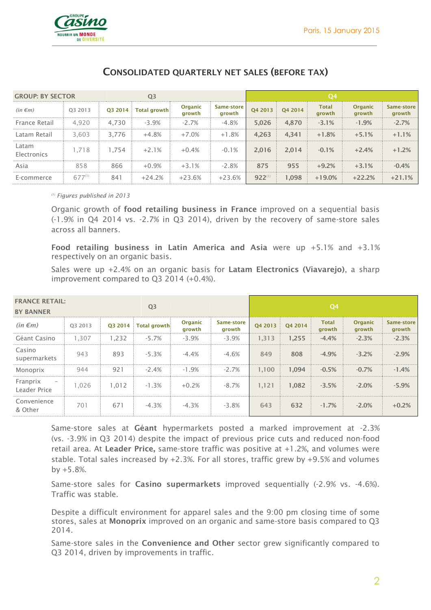

| <b>GROUP: BY SECTOR</b><br>Q <sub>3</sub> |             |         |                     |                          | Q <sub>4</sub>       |             |         |                        |                          |                      |
|-------------------------------------------|-------------|---------|---------------------|--------------------------|----------------------|-------------|---------|------------------------|--------------------------|----------------------|
| $(in \in m)$                              | 03 2013     | Q3 2014 | <b>Total growth</b> | <b>Organic</b><br>arowth | Same-store<br>growth | Q4 2013     | O4 2014 | <b>Total</b><br>growth | <b>Organic</b><br>growth | Same-store<br>growth |
| France Retail                             | 4,920       | 4,730   | $-3.9%$             | $-2.7%$                  | $-4.8%$              | 5,026       | 4,870   | $-3.1%$                | $-1.9%$                  | $-2.7%$              |
| Latam Retail                              | 3,603       | 3.776   | $+4.8%$             | $+7.0%$                  | $+1.8%$              | 4,263       | 4,341   | $+1.8%$                | $+5.1%$                  | $+1.1%$              |
| Latam<br>Electronics                      | 1.718       | 1.754   | $+2.1%$             | $+0.4%$                  | $-0.1%$              | 2,016       | 2,014   | $-0.1%$                | $+2.4%$                  | $+1.2%$              |
| Asia                                      | 858         | 866     | $+0.9%$             | $+3.1%$                  | $-2.8%$              | 875         | 955     | $+9.2%$                | $+3.1%$                  | $-0.4%$              |
| E-commerce                                | $677^{(1)}$ | 841     | $+24.2%$            | $+23.6%$                 | $+23.6%$             | $922^{(1)}$ | 1.098   | $+19.0%$               | $+22.2%$                 | $+21.1%$             |

### **CONSOLIDATED QUARTERLY NET SALES (BEFORE TAX)**

*(1) Figures published in 2013*

Organic growth of **food retailing business in France** improved on a sequential basis (-1.9% in Q4 2014 vs. -2.7% in Q3 2014), driven by the recovery of same-store sales across all banners.

**Food retailing business in Latin America and Asia** were up +5.1% and +3.1% respectively on an organic basis.

Sales were up +2.4% on an organic basis for **Latam Electronics (Viavarejo)**, a sharp improvement compared to Q3 2014 (+0.4%).

| <b>FRANCE RETAIL:</b><br><b>BY BANNER</b>            |         |         | Q <sub>3</sub>      |                   |                      |                     | Q <sub>4</sub> |                        |                          |                      |
|------------------------------------------------------|---------|---------|---------------------|-------------------|----------------------|---------------------|----------------|------------------------|--------------------------|----------------------|
| $(in \in m)$                                         | 03 2013 | O3 2014 | <b>Total growth</b> | Organic<br>growth | Same-store<br>growth | O <sub>4</sub> 2013 | O4 2014        | <b>Total</b><br>growth | <b>Organic</b><br>growth | Same-store<br>growth |
| Géant Casino                                         | 1,307   | 1,232   | $-5.7%$             | $-3.9%$           | $-3.9%$              | 1,313               | 1,255          | $-4.4%$                | $-2.3%$                  | $-2.3%$              |
| Casino<br>supermarkets                               | 943     | 893     | $-5.3%$             | $-4.4%$           | $-4.6%$              | 849                 | 808            | $-4.9%$                | $-3.2%$                  | $-2.9%$              |
| Monoprix                                             | 944     | 921     | $-2.4%$             | $-1.9%$           | $-2.7%$              | 1.100               | 1,094          | $-0.5%$                | $-0.7%$                  | $-1.4%$              |
| Franprix<br>$\overline{\phantom{0}}$<br>Leader Price | 1,026   | 1,012   | $-1.3%$             | $+0.2%$           | $-8.7%$              | 1,121               | 1,082          | $-3.5%$                | $-2.0%$                  | $-5.9%$              |
| Convenience<br>& Other                               | 701     | 671     | $-4.3%$             | $-4.3%$           | $-3.8%$              | 643                 | 632            | $-1.7%$                | $-2.0%$                  | $+0.2%$              |

Same-store sales at **Géant** hypermarkets posted a marked improvement at -2.3% (vs. -3.9% in Q3 2014) despite the impact of previous price cuts and reduced non-food retail area. At **Leader Price,** same-store traffic was positive at +1.2%, and volumes were stable. Total sales increased by +2.3%. For all stores, traffic grew by +9.5% and volumes by  $+5.8%$ .

Same-store sales for **Casino supermarkets** improved sequentially (-2.9% vs. -4.6%). Traffic was stable.

Despite a difficult environment for apparel sales and the 9:00 pm closing time of some stores, sales at **Monoprix** improved on an organic and same-store basis compared to Q3 2014.

Same-store sales in the **Convenience and Other** sector grew significantly compared to Q3 2014, driven by improvements in traffic.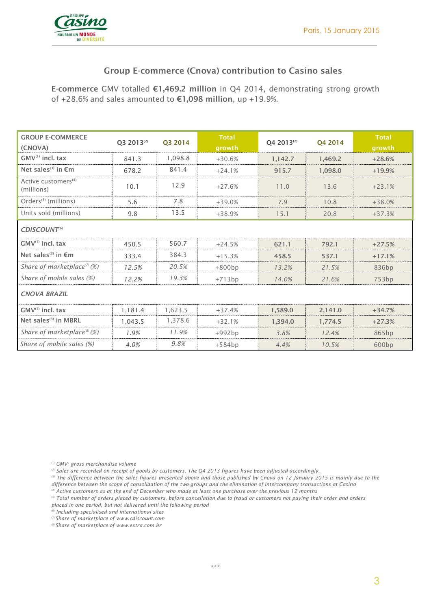

### **Group E-commerce (Cnova) contribution to Casino sales**

**E-commerce** GMV totalled **€1,469.2 million** in Q4 2014, demonstrating strong growth of +28.6% and sales amounted to **€1,098 million**, up +19.9%.

| <b>GROUP E-COMMERCE</b><br>(CNOVA)            | O3 2013 <sup>(2)</sup> | Q3 2014 | <b>Total</b><br>growth | O4 2013 <sup>(2)</sup> | O <sub>4</sub> 2014 | <b>Total</b><br>growth |  |
|-----------------------------------------------|------------------------|---------|------------------------|------------------------|---------------------|------------------------|--|
| $GMV^{(1)}$ incl. tax                         | 841.3                  | 1,098.8 | $+30.6%$               | 1,142.7                | 1.469.2             | $+28.6%$               |  |
| Net sales <sup>(3)</sup> in $\epsilon$ m      | 678.2                  | 841.4   | $+24.1%$               | 915.7                  | 1.098.0             | $+19.9%$               |  |
| Active customers <sup>(4)</sup><br>(millions) | 10.1                   | 12.9    | $+27.6%$               | 11.0                   | 13.6                | $+23.1%$               |  |
| Orders <sup>(5)</sup> (millions)              | 5.6                    | 7.8     | $+39.0%$               | 7.9                    | 10.8                | $+38.0%$               |  |
| Units sold (millions)                         | 9.8                    | 13.5    | $+38.9%$               | 15.1                   | 20.8                | $+37.3%$               |  |
| CDISCOUNT <sup>(6)</sup>                      |                        |         |                        |                        |                     |                        |  |
| $GMV^{(1)}$ incl. tax                         | 450.5                  | 560.7   | $+24.5%$               | 621.1                  | 792.1               | $+27.5%$               |  |
| Net sales <sup>(3)</sup> in $\epsilon$ m      | 333.4                  | 384.3   | $+15.3%$               | 458.5                  | 537.1               | $+17.1%$               |  |
| Share of marketplace $(7)(\%)$                | 12.5%                  | 20.5%   | $+800bp$               | 13.2%                  | 21.5%               | 836 <sub>bp</sub>      |  |
| Share of mobile sales (%)                     | 12.2%                  | 19.3%   | $+713bp$               | 14.0%                  | 21.6%               | 753bp                  |  |
| <b>CNOVA BRAZIL</b>                           |                        |         |                        |                        |                     |                        |  |
| $GMV^{(1)}$ incl. tax                         | 1,181.4                | 1,623.5 | $+37.4%$               | 1,589.0                | 2,141.0             | $+34.7%$               |  |
| Net sales <sup>(3)</sup> in MBRL              | 1.043.5                | 1,378.6 | $+32.1%$               | 1.394.0                | 1,774.5             | $+27.3%$               |  |
| Share of marketplace <sup>(8)</sup> (%)       | 1.9%                   | 11.9%   | $+992bp$               | 3.8%                   | 12.4%               | 865bp                  |  |
| Share of mobile sales (%)                     | 4.0%                   | 9.8%    | $+584bp$               | 4.4%                   | 10.5%               | 600bp                  |  |

*(1) GMV: gross merchandise volume*

*(2) Sales are recorded on receipt of goods by customers. The Q4 2013 figures have been adjusted accordingly.*

*(3) The difference between the sales figures presented above and those published by Cnova on 12 January 2015 is mainly due to the difference between the scope of consolidation of the two groups and the elimination of intercompany transactions at Casino*

*(4) Active customers as at the end of December who made at least one purchase over the previous 12 months*

*(5) Total number of orders placed by customers, before cancellation due to fraud or customers not paying their order and orders placed in one period, but not delivered until the following period*

*(6) Including specialised and international sites*

*(7) Share of marketplace o[f www.cdiscount.com](http://www.cdiscount.com/)*

*(8) Share of marketplace of www.extra.com.br*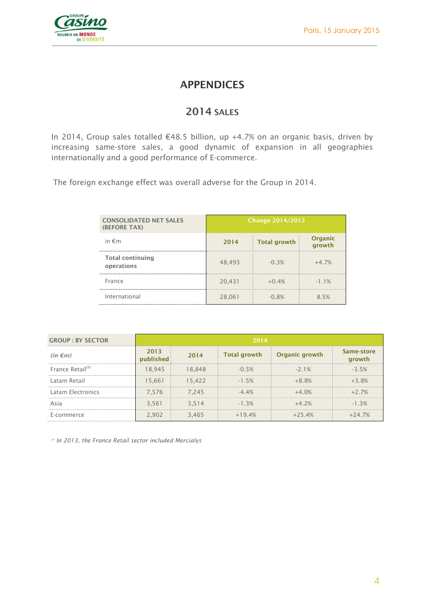

## **APPENDICES**

### **2014 SALES**

In 2014, Group sales totalled €48.5 billion, up +4.7% on an organic basis, driven by increasing same-store sales, a good dynamic of expansion in all geographies internationally and a good performance of E-commerce.

The foreign exchange effect was overall adverse for the Group in 2014.

| <b>CONSOLIDATED NET SALES</b><br>(BEFORE TAX) | <b>Change 2014/2013</b> |                     |                   |  |  |
|-----------------------------------------------|-------------------------|---------------------|-------------------|--|--|
| in $\epsilon$ m                               | 2014                    | <b>Total growth</b> | Organic<br>arowth |  |  |
| <b>Total continuing</b><br>operations         | 48,493                  | $-0.3%$             | $+4.7%$           |  |  |
| France                                        | 20,431                  | $+0.4%$             | $-1.1%$           |  |  |
| International                                 | 28,061                  | $-0.8%$             | 85%               |  |  |

| <b>GROUP: BY SECTOR</b>      | 2014              |        |                     |                |                      |  |  |  |
|------------------------------|-------------------|--------|---------------------|----------------|----------------------|--|--|--|
| $(in \in m)$                 | 2013<br>published | 2014   | <b>Total growth</b> | Organic growth | Same-store<br>growth |  |  |  |
| France Retail <sup>(1)</sup> | 18,945            | 18.848 | $-0.5%$             | $-2.1%$        | $-3.5%$              |  |  |  |
| Latam Retail                 | 15.661            | 15.422 | $-1.5%$             | $+8.8\%$       | $+3.8%$              |  |  |  |
| Latam Electronics            | 7.576             | 7.245  | $-4.4%$             | $+4.0\%$       | $+2.7\%$             |  |  |  |
| Asia                         | 3.561             | 3.514  | $-1.3%$             | $+4.2%$        | $-1.3%$              |  |  |  |
| E-commerce                   | 2,902             | 3,465  | $+19.4%$            | $+25.4%$       | $+24.7%$             |  |  |  |

*(1) In 2013, the France Retail sector included Mercialys*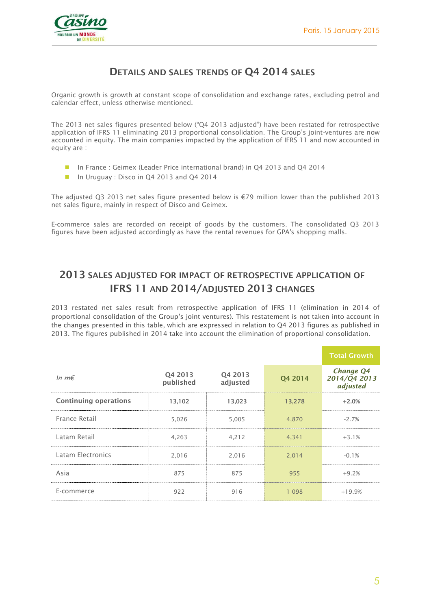

### **DETAILS AND SALES TRENDS OF Q4 2014 SALES**

Organic growth is growth at constant scope of consolidation and exchange rates, excluding petrol and calendar effect, unless otherwise mentioned.

The 2013 net sales figures presented below ("Q4 2013 adjusted") have been restated for retrospective application of IFRS 11 eliminating 2013 proportional consolidation. The Group's joint-ventures are now accounted in equity. The main companies impacted by the application of IFRS 11 and now accounted in equity are :

- In France : Geimex (Leader Price international brand) in Q4 2013 and Q4 2014
- In Uruguay : Disco in Q4 2013 and Q4 2014

The adjusted Q3 2013 net sales figure presented below is €79 million lower than the published 2013 net sales figure, mainly in respect of Disco and Geimex.

E-commerce sales are recorded on receipt of goods by the customers. The consolidated Q3 2013 figures have been adjusted accordingly as have the rental revenues for GPA's shopping malls.

# **2013 SALES ADJUSTED FOR IMPACT OF RETROSPECTIVE APPLICATION OF IFRS 11 AND 2014/ADJUSTED 2013 CHANGES**

2013 restated net sales result from retrospective application of IFRS 11 (elimination in 2014 of proportional consolidation of the Group's joint ventures). This restatement is not taken into account in the changes presented in this table, which are expressed in relation to Q4 2013 figures as published in 2013. The figures published in 2014 take into account the elimination of proportional consolidation.

|                              |                      |                     |         | <b>Total Growth</b>                   |
|------------------------------|----------------------|---------------------|---------|---------------------------------------|
| In $m \in$                   | Q4 2013<br>published | Q4 2013<br>adjusted | Q4 2014 | Change Q4<br>2014/Q4 2013<br>adjusted |
| <b>Continuing operations</b> | 13,102               | 13,023              | 13,278  | $+2.0%$                               |
| France Retail                | 5,026                | 5,005               | 4,870   | $-2.7%$                               |
| Latam Retail                 | 4,263                | 4,212               | 4,341   | $+3.1%$                               |
| Latam Electronics            | 2,016                | 2,016               | 2,014   | $-0.1%$                               |
| Asia                         | 875                  | 875                 | 955     | $+9.2%$                               |
| E-commerce                   | 922                  | 916                 | 1 0 9 8 | $+19.9%$                              |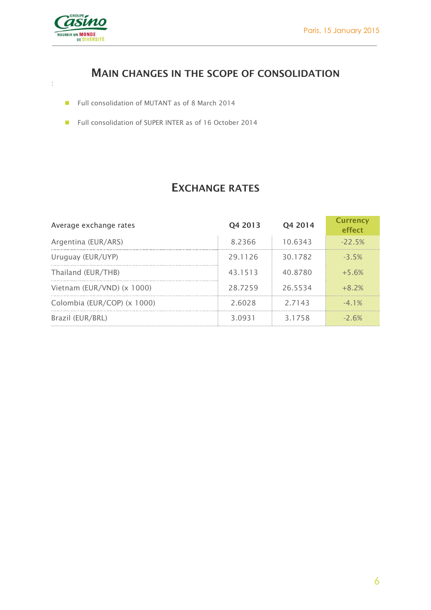

:

# **MAIN CHANGES IN THE SCOPE OF CONSOLIDATION**

- Full consolidation of MUTANT as of 8 March 2014
- Full consolidation of SUPER INTER as of 16 October 2014

# **EXCHANGE RATES**

| Average exchange rates      | Q4 2013 | 04 2014 | <b>Currency</b><br>effect |
|-----------------------------|---------|---------|---------------------------|
| Argentina (EUR/ARS)         | 8.2366  | 10.6343 | $-22.5%$                  |
| Uruguay (EUR/UYP)           | 29.1126 | 30.1782 | $-3.5%$                   |
| Thailand (EUR/THB)          | 43.1513 | 40.8780 | $+5.6%$                   |
| Vietnam (EUR/VND) (x 1000)  | 28.7259 | 26.5534 | $+8.2%$                   |
| Colombia (EUR/COP) (x 1000) | 2.6028  | 2.7143  | $-41\%$                   |
| Brazil (EUR/BRL)            | 3 0931  | 31758   | $-2.6%$                   |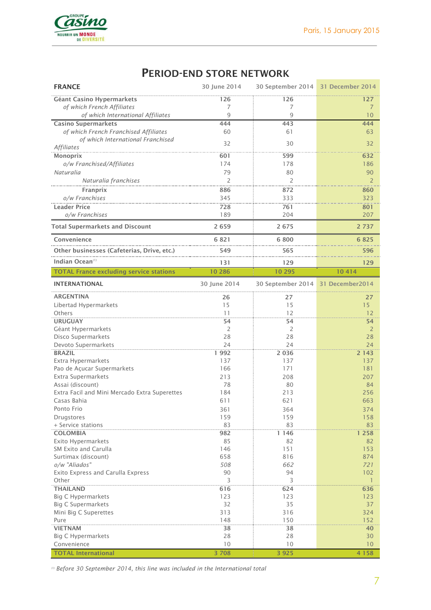

# **PERIOD-END STORE NETWORK**

| <b>FRANCE</b>                                    | 30 June 2014   | 30 September 2014 31 December 2014 |                 |
|--------------------------------------------------|----------------|------------------------------------|-----------------|
| <b>Géant Casino Hypermarkets</b>                 | 126            | 126                                | 127             |
| of which French Affiliates                       | 7              | 7                                  | $\overline{7}$  |
| of which International Affiliates                | 9              | $\overline{9}$                     | 10              |
| <b>Casino Supermarkets</b>                       | 444            | 443                                | 444             |
| of which French Franchised Affiliates            | 60             | 61                                 | 63              |
| of which International Franchised                | 32             | 30                                 | 32              |
| <b>Affiliates</b>                                |                |                                    |                 |
| <b>Monoprix</b>                                  | 601<br>174     | 599<br>178                         | 632<br>186      |
| o/w Franchised/Affiliates<br>Naturalia           | 79             | 80                                 | 90              |
| Naturalia franchises                             | $\overline{2}$ | $\overline{2}$                     | $\overline{2}$  |
| Franprix                                         | 886            | 872                                | 860             |
| o/w Franchises                                   | 345            | 333                                | 323             |
| <b>Leader Price</b>                              | 728            | 761                                | 801             |
| o/w Franchises                                   | 189            | 204                                | 207             |
| <b>Total Supermarkets and Discount</b>           | 2659           | 2675                               | 2 7 3 7         |
|                                                  |                |                                    |                 |
| Convenience                                      | 6821           | 6800                               | 6825            |
| Other businesses (Cafeterias, Drive, etc.)       | 549            | 565                                | 596             |
| Indian Ocean <sup>(1)</sup>                      | 131            | 129                                | 129             |
| <b>TOTAL France excluding service stations</b>   | 10 286         | 10 295                             | 10414           |
| <b>INTERNATIONAL</b>                             | 30 June 2014   | 30 September 2014                  | 31 December2014 |
| <b>ARGENTINA</b>                                 | 26             | 27                                 | 27              |
| Libertad Hypermarkets                            | 15             | 15                                 | 15              |
| Others                                           | 11             | 12                                 | 12              |
| <b>URUGUAY</b>                                   | 54             | 54                                 | 54              |
| Géant Hypermarkets                               | 2              | $\overline{2}$                     | $\overline{2}$  |
| Disco Supermarkets                               | 28             | 28                                 | 28              |
| Devoto Supermarkets                              | 24             | 24                                 | 24              |
| <b>BRAZIL</b>                                    | 1992           | 2 0 3 6                            | 2 1 4 3         |
| Extra Hypermarkets                               | 137            | 137                                | 137             |
| Pao de Açucar Supermarkets<br>Extra Supermarkets | 166<br>213     | 171<br>208                         | 181<br>207      |
| Assai (discount)                                 | 78             | 80                                 | 84              |
| Extra Facil and Mini Mercado Extra Superettes    | 184            | 213                                | 256             |
| Casas Bahia                                      | 611            | 621                                | 663             |
| Ponto Frio                                       | 361            | 364                                | 374             |
| Drugstores                                       | 159            | 159                                | 158             |
| + Service stations                               | 83             | 83                                 | 83              |
| <b>COLOMBIA</b>                                  | 982            | 1 1 4 6                            | 1 2 5 8         |
| Exito Hypermarkets                               | 85             | 82                                 | 82              |
| SM Exito and Carulla                             | 146            | 151                                | 153             |
| Surtimax (discount)                              | 658            | 816                                | 874             |
| o/w "Aliados"                                    | 508            | 662                                | 721             |
| Exito Express and Carulla Express                | 90             | 94                                 | 102             |
| Other                                            | 3              | 3                                  | $\mathbf{1}$    |
| <b>THAILAND</b><br><b>Big C Hypermarkets</b>     | 616<br>123     | 624<br>123                         | 636<br>123      |
| <b>Big C Supermarkets</b>                        | 32             | 35                                 | 37              |
| Mini Big C Superettes                            | 313            | 316                                | 324             |
| Pure                                             | 148            | 150                                | 152             |
| <b>VIETNAM</b>                                   | 38             | 38                                 | 40              |
| <b>Big C Hypermarkets</b>                        | 28             | 28                                 | 30              |
| Convenience                                      | 10             | 10                                 | 10              |
| <b>TOTAL International</b>                       | 3 7 0 8        | 3 9 2 5                            | 4 1 5 8         |

*(1) Before 30 September 2014, this line was included in the International total*